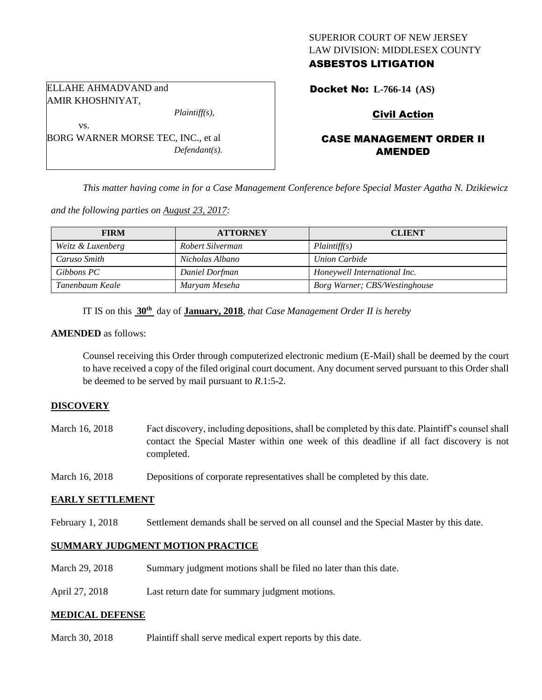### SUPERIOR COURT OF NEW JERSEY LAW DIVISION: MIDDLESEX COUNTY ASBESTOS LITIGATION

ELLAHE AHMADVAND and AMIR KHOSHNIYAT,

vs.

*Plaintiff(s),*

BORG WARNER MORSE TEC, INC., et al *Defendant(s).*

# Docket No: **L-766-14 (AS)**

# Civil Action

# CASE MANAGEMENT ORDER II AMENDED

*This matter having come in for a Case Management Conference before Special Master Agatha N. Dzikiewicz* 

*and the following parties on August 23, 2017:*

| <b>FIRM</b>       | <b>ATTORNEY</b>  | <b>CLIENT</b>                 |
|-------------------|------------------|-------------------------------|
| Weitz & Luxenberg | Robert Silverman | Plaintiff(s)                  |
| Caruso Smith      | Nicholas Albano  | Union Carbide                 |
| Gibbons PC        | Daniel Dorfman   | Honeywell International Inc.  |
| Tanenbaum Keale   | Maryam Meseha    | Borg Warner; CBS/Westinghouse |

IT IS on this **30th** day of **January, 2018**, *that Case Management Order II is hereby*

#### **AMENDED** as follows:

Counsel receiving this Order through computerized electronic medium (E-Mail) shall be deemed by the court to have received a copy of the filed original court document. Any document served pursuant to this Order shall be deemed to be served by mail pursuant to *R*.1:5-2.

## **DISCOVERY**

- March 16, 2018 Fact discovery, including depositions, shall be completed by this date. Plaintiff's counsel shall contact the Special Master within one week of this deadline if all fact discovery is not completed.
- March 16, 2018 Depositions of corporate representatives shall be completed by this date.

#### **EARLY SETTLEMENT**

February 1, 2018 Settlement demands shall be served on all counsel and the Special Master by this date.

#### **SUMMARY JUDGMENT MOTION PRACTICE**

- March 29, 2018 Summary judgment motions shall be filed no later than this date.
- April 27, 2018 Last return date for summary judgment motions.

#### **MEDICAL DEFENSE**

March 30, 2018 Plaintiff shall serve medical expert reports by this date.